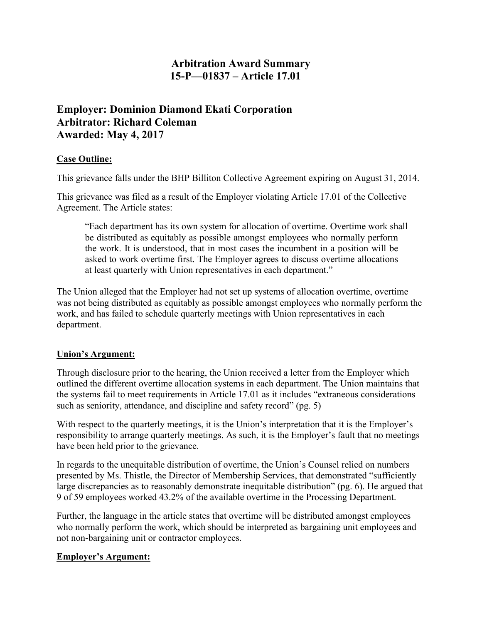## **Arbitration Award Summary 15-P—01837 – Article 17.01**

# **Employer: Dominion Diamond Ekati Corporation Arbitrator: Richard Coleman Awarded: May 4, 2017**

### **Case Outline:**

This grievance falls under the BHP Billiton Collective Agreement expiring on August 31, 2014.

This grievance was filed as a result of the Employer violating Article 17.01 of the Collective Agreement. The Article states:

"Each department has its own system for allocation of overtime. Overtime work shall be distributed as equitably as possible amongst employees who normally perform the work. It is understood, that in most cases the incumbent in a position will be asked to work overtime first. The Employer agrees to discuss overtime allocations at least quarterly with Union representatives in each department."

The Union alleged that the Employer had not set up systems of allocation overtime, overtime was not being distributed as equitably as possible amongst employees who normally perform the work, and has failed to schedule quarterly meetings with Union representatives in each department.

#### **Union's Argument:**

Through disclosure prior to the hearing, the Union received a letter from the Employer which outlined the different overtime allocation systems in each department. The Union maintains that the systems fail to meet requirements in Article 17.01 as it includes "extraneous considerations such as seniority, attendance, and discipline and safety record" (pg. 5)

With respect to the quarterly meetings, it is the Union's interpretation that it is the Employer's responsibility to arrange quarterly meetings. As such, it is the Employer's fault that no meetings have been held prior to the grievance.

In regards to the unequitable distribution of overtime, the Union's Counsel relied on numbers presented by Ms. Thistle, the Director of Membership Services, that demonstrated "sufficiently large discrepancies as to reasonably demonstrate inequitable distribution" (pg. 6). He argued that 9 of 59 employees worked 43.2% of the available overtime in the Processing Department.

Further, the language in the article states that overtime will be distributed amongst employees who normally perform the work, which should be interpreted as bargaining unit employees and not non-bargaining unit or contractor employees.

#### **Employer's Argument:**